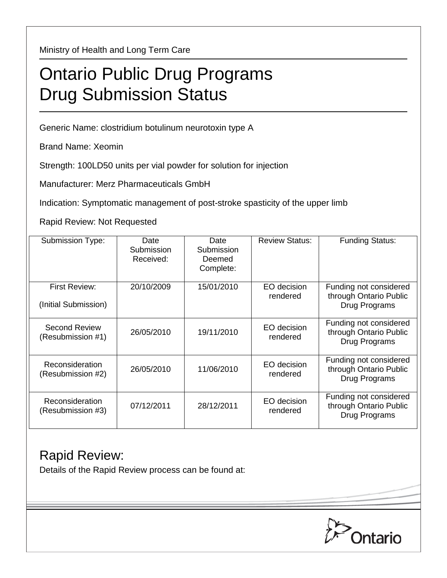Ministry of Health and Long Term Care

# Ontario Public Drug Programs Drug Submission Status

Generic Name: clostridium botulinum neurotoxin type A

Brand Name: Xeomin

Strength: 100LD50 units per vial powder for solution for injection

Manufacturer: Merz Pharmaceuticals GmbH

Indication: Symptomatic management of post-stroke spasticity of the upper limb

Rapid Review: Not Requested

| Submission Type:                          | Date<br>Submission<br>Received: | Date<br>Submission<br>Deemed<br>Complete: | <b>Review Status:</b>   | <b>Funding Status:</b>                                            |
|-------------------------------------------|---------------------------------|-------------------------------------------|-------------------------|-------------------------------------------------------------------|
| First Review:<br>(Initial Submission)     | 20/10/2009                      | 15/01/2010                                | EO decision<br>rendered | Funding not considered<br>through Ontario Public<br>Drug Programs |
| <b>Second Review</b><br>(Resubmission #1) | 26/05/2010                      | 19/11/2010                                | EO decision<br>rendered | Funding not considered<br>through Ontario Public<br>Drug Programs |
| Reconsideration<br>(Resubmission #2)      | 26/05/2010                      | 11/06/2010                                | EO decision<br>rendered | Funding not considered<br>through Ontario Public<br>Drug Programs |
| Reconsideration<br>(Resubmission #3)      | 07/12/2011                      | 28/12/2011                                | EO decision<br>rendered | Funding not considered<br>through Ontario Public<br>Drug Programs |

### Rapid Review:

Details of the Rapid Review process can be found at: